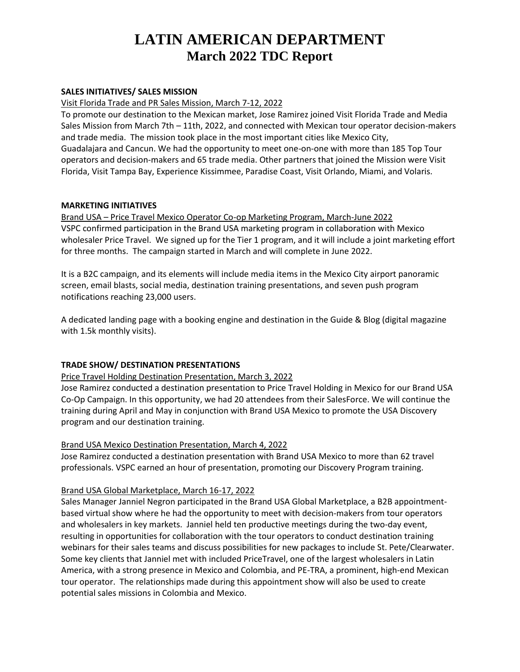# **LATIN AMERICAN DEPARTMENT March 2022 TDC Report**

### **SALES INITIATIVES/ SALES MISSION**

#### Visit Florida Trade and PR Sales Mission, March 7-12, 2022

To promote our destination to the Mexican market, Jose Ramirez joined Visit Florida Trade and Media Sales Mission from March 7th – 11th, 2022, and connected with Mexican tour operator decision-makers and trade media. The mission took place in the most important cities like Mexico City, Guadalajara and Cancun. We had the opportunity to meet one-on-one with more than 185 Top Tour operators and decision-makers and 65 trade media. Other partners that joined the Mission were Visit Florida, Visit Tampa Bay, Experience Kissimmee, Paradise Coast, Visit Orlando, Miami, and Volaris.

#### **MARKETING INITIATIVES**

## Brand USA – Price Travel Mexico Operator Co-op Marketing Program, March-June 2022 VSPC confirmed participation in the Brand USA marketing program in collaboration with Mexico wholesaler Price Travel. We signed up for the Tier 1 program, and it will include a joint marketing effort for three months. The campaign started in March and will complete in June 2022.

It is a B2C campaign, and its elements will include media items in the Mexico City airport panoramic screen, email blasts, social media, destination training presentations, and seven push program notifications reaching 23,000 users.

A dedicated landing page with a booking engine and destination in the Guide & Blog (digital magazine with 1.5k monthly visits).

### **TRADE SHOW/ DESTINATION PRESENTATIONS**

### Price Travel Holding Destination Presentation, March 3, 2022

Jose Ramirez conducted a destination presentation to Price Travel Holding in Mexico for our Brand USA Co-Op Campaign. In this opportunity, we had 20 attendees from their SalesForce. We will continue the training during April and May in conjunction with Brand USA Mexico to promote the USA Discovery program and our destination training.

### Brand USA Mexico Destination Presentation, March 4, 2022

Jose Ramirez conducted a destination presentation with Brand USA Mexico to more than 62 travel professionals. VSPC earned an hour of presentation, promoting our Discovery Program training.

### Brand USA Global Marketplace, March 16-17, 2022

Sales Manager Janniel Negron participated in the Brand USA Global Marketplace, a B2B appointmentbased virtual show where he had the opportunity to meet with decision-makers from tour operators and wholesalers in key markets. Janniel held ten productive meetings during the two-day event, resulting in opportunities for collaboration with the tour operators to conduct destination training webinars for their sales teams and discuss possibilities for new packages to include St. Pete/Clearwater. Some key clients that Janniel met with included PriceTravel, one of the largest wholesalers in Latin America, with a strong presence in Mexico and Colombia, and PE-TRA, a prominent, high-end Mexican tour operator. The relationships made during this appointment show will also be used to create potential sales missions in Colombia and Mexico.